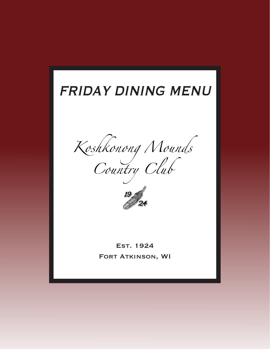# FRIDAY DINING MENU

Koshkonong Nounds<br>Country Club



Est. 1924 Fort Atkinson, WI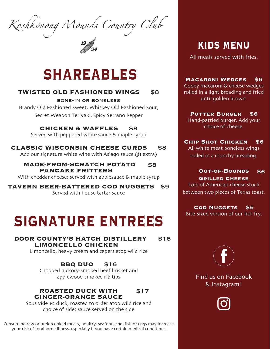*Koshkonong Mounds Country Club*

# **SHAREABLES**

### **TWISTED OLD FASHIONED WINGS** \$8

bone-in or boneless Brandy Old Fashioned Sweet, Whiskey Old Fashioned Sour, Secret Weapon Teriyaki, Spicy Serrano Pepper

**CHICKEN & WAFFLES** \$8

Served with peppered white sauce & maple syrup

**CLASSIC WISCONSIN CHEESE CURDS** \$8 Add our signature white wine with Asiago sauce (\$1 extra)

**MADE-FROM-SCRATCH POTATO PANCAKE FRITTERS** \$8

With cheddar cheese; served with applesauce & maple syrup

**TAVERN BEER-BATTERED COD NUGGETS** \$9 Served with house tartar sauce

# **SIGNATURE ENTREES**

 **DOOR COUNTY'S HATCH DISTILLERY LIMONCELLO CHICKEN** \$15

Limoncello, heavy cream and capers atop wild rice

**BBQ DUO** \$16 Chopped hickory-smoked beef brisket and applewood-smoked rib tips

#### **ROASTED DUCK WITH GINGER-ORANGE SAUCE** \$17

Sous vide  $\sqrt{2}$  duck, roasted to order atop wild rice and choice of side; sauce served on the side

Consuming raw or undercooked meats, poultry, seafood, shellfish or eggs may increase your risk of foodborne illness, especially if you have certain medical conditions.

**KIDS MENU**

All meals served with fries.

**Macaroni Wedges** \$6 Gooey macaroni & cheese wedges rolled in a light breading and fried until golden brown.

**Putter Burger** \$6 Hand-pattied burger. Add your choice of cheese.

**Chip Shot Chicken** \$6 All white meat boneless wings rolled in a crunchy breading.

#### **Out-of-Bounds Grilled Cheese** \$6

Lots of American cheese stuck between two pieces of Texas toast.

**Cod Nuggets** \$6

Bite-sized version of our fish fry.



Find us on Facebook & Instagram!

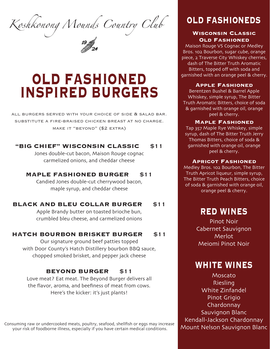*Koshkonong Mounds Country Club* **OLD FASHIONEDS**

# **OLD FASHIONED INSPIRED BURGERS**

all burgers served with your choice of side & salad bar. substitute a fire-braised chicken breast at no charge. make it "beyond" (\$2 extra)

### **"BIG CHIEF" WISCONSIN CLASSIC** \$11

Jones double-cut bacon, Maison Rouge cognac carmelized onions, and cheddar cheese

#### **MAPLE FASHIONED BURGER** \$11

Candied Jones double-cut cherrywood bacon, maple syrup, and cheddar cheese

## **BLACK AND BLEU COLLAR BURGER** \$11

Apple Brandy butter on toasted brioche bun, crumbled bleu cheese, and carmelized onions

#### **HATCH BOURBON BRISKET BURGER** \$11

Our signature ground beef patties topped with Door County's Hatch Distillery bourbon BBQ sauce, chopped smoked brisket, and pepper jack cheese

## **BEYOND BURGER** \$11

Love meat? Eat meat. The Beyond Burger delivers all the flavor, aroma, and beefiness of meat from cows. Here's the kicker: it's just plants!

Consuming raw or undercooked meats, poultry, seafood, shellfish or eggs may increase your risk of foodborne illness, especially if you have certain medical conditions.

#### **Wisconsin Classic Old Fashioned**

Maison Rouge VS Cognac or Medley Bros. 102 Bourbon, sugar cube, orange piece, 2 Traverse City Whiskey cherries, dash of The Bitter Truth Aromatic Bitters, topped off with soda and garnished with an orange peel & cherry.

#### **Apple Fashioned**

Berentzen Bushel & Barrel Apple Whiskey, simple syrup, The Bitter Truth Aromatic Bitters, choice of soda & garnished with orange oil, orange peel & cherry.

#### **Maple Fashioned**

Tap 357 Maple Rye Whiskey, simple syrup, dash of The Bitter Truth Jerry Thomas Bitters, choice of soda & garnished with orange oil, orange peel & cherry.

#### **Apricot Fashioned**

Medley Bros. 102 Bourbon, The Bitter Truth Apricot liqueur, simple syrup, The Bitter Truth Peach Bitters, choice of soda & garnished with orange oil, orange peel & cherry.

# **RED WINES**

Pinot Noir Cabernet Sauvignon Merlot Meiomi Pinot Noir

# **WHITE WINES**

Moscato Riesling White Zinfandel Pinot Grigio Chardonnay Sauvignon Blanc Kendall-Jackson Chardonnay Mount Nelson Sauvignon Blanc